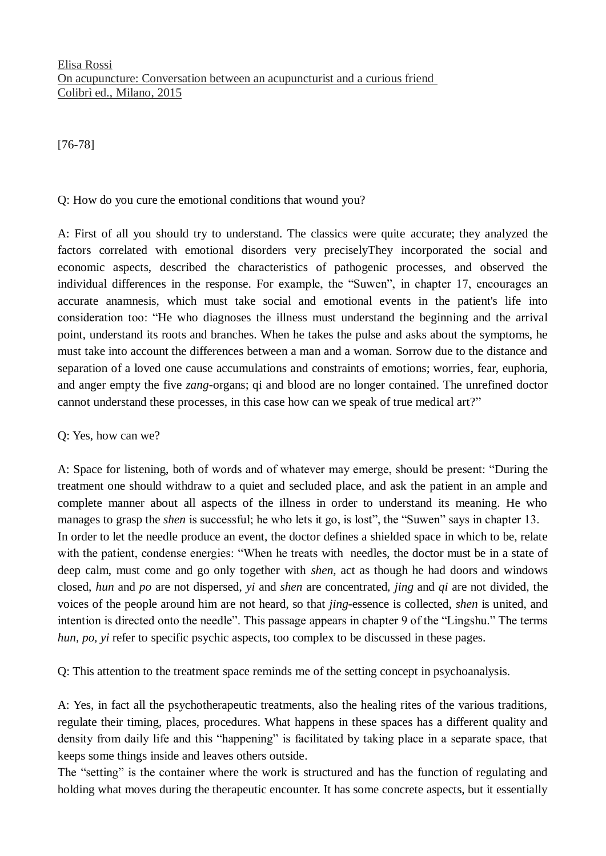[76-78]

## Q: How do you cure the emotional conditions that wound you?

A: First of all you should try to understand. The classics were quite accurate; they analyzed the factors correlated with emotional disorders very preciselyThey incorporated the social and economic aspects, described the characteristics of pathogenic processes, and observed the individual differences in the response. For example, the "Suwen", in chapter 17, encourages an accurate anamnesis, which must take social and emotional events in the patient's life into consideration too: "He who diagnoses the illness must understand the beginning and the arrival point, understand its roots and branches. When he takes the pulse and asks about the symptoms, he must take into account the differences between a man and a woman. Sorrow due to the distance and separation of a loved one cause accumulations and constraints of emotions; worries, fear, euphoria, and anger empty the five *zang-*organs; qi and blood are no longer contained. The unrefined doctor cannot understand these processes, in this case how can we speak of true medical art?"

## Q: Yes, how can we?

A: Space for listening, both of words and of whatever may emerge, should be present: "During the treatment one should withdraw to a quiet and secluded place, and ask the patient in an ample and complete manner about all aspects of the illness in order to understand its meaning. He who manages to grasp the *shen* is successful; he who lets it go, is lost", the "Suwen" says in chapter 13. In order to let the needle produce an event, the doctor defines a shielded space in which to be, relate with the patient, condense energies: "When he treats with needles, the doctor must be in a state of deep calm, must come and go only together with *shen*, act as though he had doors and windows closed, *hun* and *po* are not dispersed, *yi* and *shen* are concentrated, *jing* and *qi* are not divided, the voices of the people around him are not heard, so that *jing*-essence is collected, *shen* is united, and intention is directed onto the needle". This passage appears in chapter 9 of the "Lingshu." The terms *hun, po, yi* refer to specific psychic aspects, too complex to be discussed in these pages.

Q: This attention to the treatment space reminds me of the setting concept in psychoanalysis.

A: Yes, in fact all the psychotherapeutic treatments, also the healing rites of the various traditions, regulate their timing, places, procedures. What happens in these spaces has a different quality and density from daily life and this "happening" is facilitated by taking place in a separate space, that keeps some things inside and leaves others outside.

The "setting" is the container where the work is structured and has the function of regulating and holding what moves during the therapeutic encounter. It has some concrete aspects, but it essentially